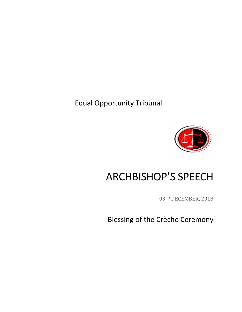Equal Opportunity Tribunal



## ARCHBISHOP'S SPEECH

03RD DECEMBER, 2018

Blessing of the Crèche Ceremony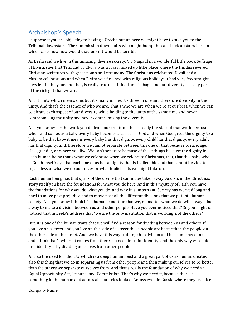## Archbishop's Speech

I suppose if you are objecting to having a Crèche put up here we might have to take you to the Tribunal downstairs. The Commission downstairs who might bump the case back upstairs here in which case, now how would that look? It would be terrible.

As Leela said we live in this amazing, diverse society. V.S Naipaul in a wonderful little book Suffrage of Elvira, says that Trinidad or Elvira was a crazy, mixed up little place where the Hindus revered Christian scriptures with great pomp and ceremony. The Christians celebrated Divali and all Muslim celebrations and when Elvira was finished with religious holidays it had very few straight days left in the year, and that, is really true of Trinidad and Tobago and our diversity is really part of the rich gift that we are.

And Trinity which means one, but it's many in one, it's three in one and therefore diversity in the unity. And that's the essence of who we are. That's who we are when we're at our best, when we can celebrate each aspect of our diversity while holding to the unity at the same time and never compromising the unity and never compromising the diversity.

And you know for the work you do from our tradition this is really the start of that work because when God comes as a baby every baby becomes a carrier of God and when God gives the dignity to a baby to be that baby it means every baby has that dignity, every child has that dignity, every adult has that dignity, and, therefore we cannot separate between this one or that because of race, age, class, gender, or where you live. We can't separate because of these things because the dignity in each human being that's what we celebrate when we celebrate Christmas, that, that this baby who is God himself says that each one of us has a dignity that is inalienable and that cannot be violated regardless of what we do ourselves or what foolish acts we might take on.

Each human being has that spark of the divine that cannot be taken away. And so, in the Christmas story itself you have the foundations for what you do here. And in this mystery of Faith you have the foundations for why you do what you do, and why it is important. Society has worked long and hard to move past prejudice and to move past all the different divisions that we put into human society. And you know I think it's a human condition that we, no matter what we do will always find a way to make a division between us and other people. Have you ever noticed that? So you might of noticed that in Leela's address that "we are the only institution that is working, not the others."

But, it is one of the human traits that we will find a reason for dividing between us and others. If you live on a street and you live on this side of a street those people are better than the people on the other side of the street. And, we have this way of doing this division and it is some need in us, and I think that's where it comes from there is a need in us for identity, and the only way we could find identity is by dividing ourselves from other people.

And so the need for identity which is a deep human need and a great part of us as human creates also this thing that we do in separating us from other people and then making ourselves to be better than the others we separate ourselves from. And that's really the foundation of why we need an Equal Opportunity Act, Tribunal and Commission. That's why we need it, because there is something in the human and across all countries looked. Across even in Russia where they practice

Company Name